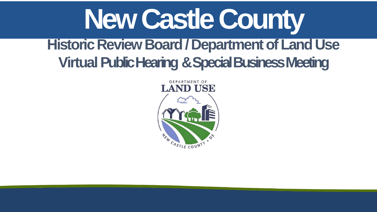# **New Castle County Historic Review Board / Department of Land Use Virtual Public Hearing & Special Business Meeting**



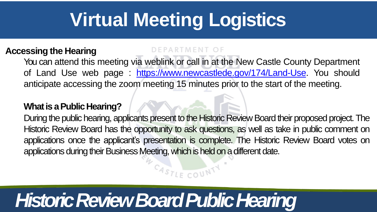### **Accessing the Hearing**

You can attend this meeting via weblink or call in at the New Castle County Department of Land Use web page : [https://www.newcastlede.gov/174/Land-Use.](https://www.newcastlede.gov/174/Land-Use) You should anticipate accessing the zoom meeting 15 minutes prior to the start of the meeting.

### **What is a Public Hearing?**

During the public hearing, applicants present to the Historic Review Board their proposed project. The Historic Review Board has the opportunity to ask questions, as well as take in public comment on applications once the applicant's presentation is complete. The Historic Review Board votes on applications during their Business Meeting, which is held on a different date.

 $G_{A S_{T/F} \cap O U} N T$ 

# **Virtual Meeting Logistics**

## *Historic Review Board Public Hearing*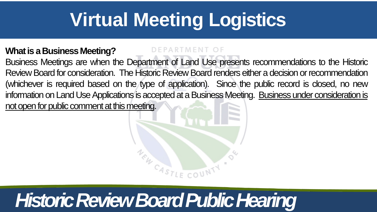# **Virtual Meeting Logistics**

**What is a Business Meeting?** Business Meetings are when the Department of Land Use presents recommendations to the Historic Review Board for consideration. The Historic Review Board renders either a decision or recommendation (whichever is required based on the type of application). Since the public record is closed, no new information on Land Use Applications is accepted at a Business Meeting. Business under consideration is not open for public comment at this meeting.



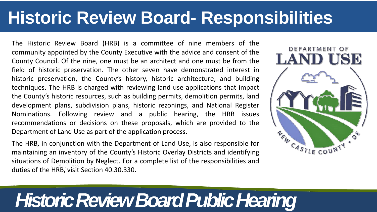## **Historic Review Board- Responsibilities**

The Historic Review Board (HRB) is a committee of nine members of the community appointed by the County Executive with the advice and consent of the County Council. Of the nine, one must be an architect and one must be from the field of historic preservation. The other seven have demonstrated interest in historic preservation, the County's history, historic architecture, and building techniques. The HRB is charged with reviewing land use applications that impact the County's historic resources, such as building permits, demolition permits, land development plans, subdivision plans, historic rezonings, and National Register Nominations. Following review and a public hearing, the HRB issues recommendations or decisions on these proposals, which are provided to the Department of Land Use as part of the application process.

The HRB, in conjunction with the Department of Land Use, is also responsible for maintaining an inventory of the County's Historic Overlay Districts and identifying situations of Demolition by Neglect. For a complete list of the responsibilities and duties of the HRB, visit Section 40.30.330.



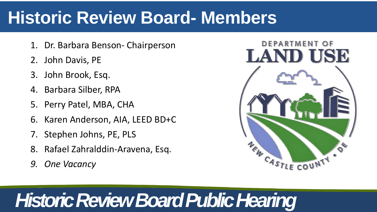## **Historic Review Board- Members**

- 1. Dr. Barbara Benson- Chairperson
- 2. John Davis, PE
- 3. John Brook, Esq.
- 4. Barbara Silber, RPA
- 5. Perry Patel, MBA, CHA
- 6. Karen Anderson, AIA, LEED BD+C
- 7. Stephen Johns, PE, PLS
- 8. Rafael Zahralddin-Aravena, Esq.
- *9. One Vacancy*



### DEPARTMENT OF LAND USE



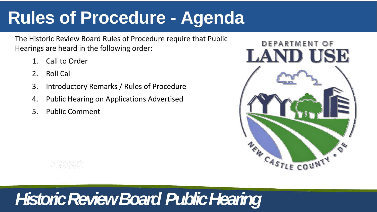### **Rules of Procedure - Agenda**

The Historic Review Board Rules of Procedure require that Public Hearings are heard in the following order:

- Call to Order
- 2. Roll Call
- 3. Introductory Remarks / Rules of Procedure
- 4. Public Hearing on Applications Advertised
- 5. Public Comment



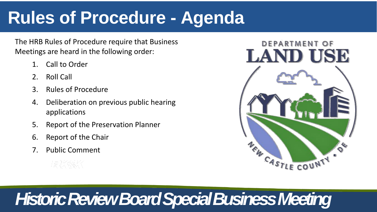## **Rules of Procedure - Agenda**

The HRB Rules of Procedure require that Business Meetings are heard in the following order:

- Call to Order
- 2. Roll Call
- 3. Rules of Procedure
- 4. Deliberation on previous public hearing applications
- 5. Report of the Preservation Planner
- 6. Report of the Chair
- Public Comment



### DEPARTMENT OF LAND USE